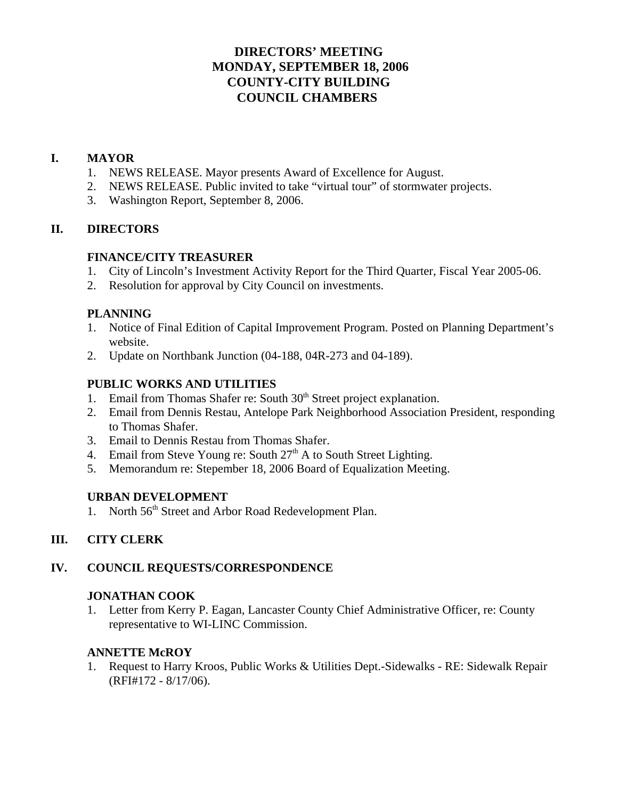# **DIRECTORS' MEETING MONDAY, SEPTEMBER 18, 2006 COUNTY-CITY BUILDING COUNCIL CHAMBERS**

## **I. MAYOR**

- 1. NEWS RELEASE. Mayor presents Award of Excellence for August.
- 2. NEWS RELEASE. Public invited to take "virtual tour" of stormwater projects.
- 3. Washington Report, September 8, 2006.

## **II. DIRECTORS**

#### **FINANCE/CITY TREASURER**

- 1. City of Lincoln's Investment Activity Report for the Third Quarter, Fiscal Year 2005-06.
- 2. Resolution for approval by City Council on investments.

#### **PLANNING**

- 1. Notice of Final Edition of Capital Improvement Program. Posted on Planning Department's website.
- 2. Update on Northbank Junction (04-188, 04R-273 and 04-189).

## **PUBLIC WORKS AND UTILITIES**

- 1. Email from Thomas Shafer re: South  $30<sup>th</sup>$  Street project explanation.
- 2. Email from Dennis Restau, Antelope Park Neighborhood Association President, responding to Thomas Shafer.
- 3. Email to Dennis Restau from Thomas Shafer.
- 4. Email from Steve Young re: South  $27<sup>th</sup>$  A to South Street Lighting.
- 5. Memorandum re: Stepember 18, 2006 Board of Equalization Meeting.

## **URBAN DEVELOPMENT**

1. North 56<sup>th</sup> Street and Arbor Road Redevelopment Plan.

## **III. CITY CLERK**

## **IV. COUNCIL REQUESTS/CORRESPONDENCE**

## **JONATHAN COOK**

1. Letter from Kerry P. Eagan, Lancaster County Chief Administrative Officer, re: County representative to WI-LINC Commission.

#### **ANNETTE McROY**

1. Request to Harry Kroos, Public Works & Utilities Dept.-Sidewalks - RE: Sidewalk Repair (RFI#172 - 8/17/06).